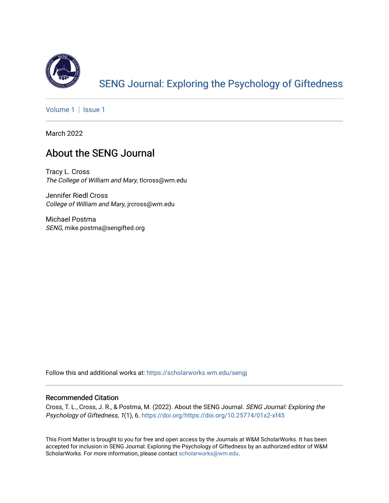

# [SENG Journal: Exploring the Psychology of Giftedness](https://scholarworks.wm.edu/sengj)

[Volume 1](https://scholarworks.wm.edu/sengj/vol1) | Issue 1

March 2022

## About the SENG Journal

Tracy L. Cross The College of William and Mary, tlcross@wm.edu

Jennifer Riedl Cross College of William and Mary, jrcross@wm.edu

Michael Postma SENG, mike.postma@sengifted.org

Follow this and additional works at: [https://scholarworks.wm.edu/sengj](https://scholarworks.wm.edu/sengj?utm_source=scholarworks.wm.edu%2Fsengj%2Fvol1%2Fiss1%2F3&utm_medium=PDF&utm_campaign=PDFCoverPages)

### Recommended Citation

Cross, T. L., Cross, J. R., & Postma, M. (2022). About the SENG Journal. SENG Journal: Exploring the Psychology of Giftedness, 1(1), 6. <https://doi.org/https://doi.org/10.25774/01x2-xf45>

This Front Matter is brought to you for free and open access by the Journals at W&M ScholarWorks. It has been accepted for inclusion in SENG Journal: Exploring the Psychology of Giftedness by an authorized editor of W&M ScholarWorks. For more information, please contact [scholarworks@wm.edu.](mailto:scholarworks@wm.edu)